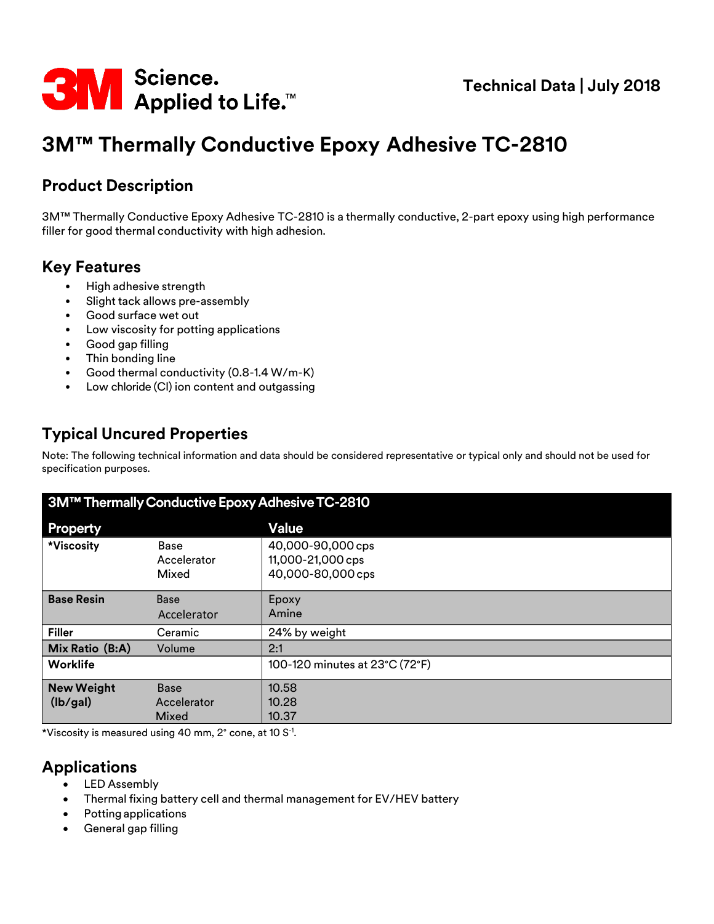

# **3M™ Thermally Conductive Epoxy Adhesive TC-2810**

# **Product Description**

3M™ Thermally Conductive Epoxy Adhesive TC-2810 is a thermally conductive, 2-part epoxy using high performance filler for good thermal conductivity with high adhesion.

# **Key Features**

- High adhesive strength
- Slight tack allows pre-assembly
- Good surface wet out
- Low viscosity for potting applications
- Good gap filling
- Thin bonding line
- Good thermal conductivity (0.8-1.4 W/m-K)
- Low chloride (Cl) ion content and outgassing

# **Typical Uncured Properties**

Note: The following technical information and data should be considered representative or typical only and should not be used for specification purposes.

| 3M™ Thermally Conductive Epoxy Adhesive TC-2810 |                                     |                                                             |  |  |  |
|-------------------------------------------------|-------------------------------------|-------------------------------------------------------------|--|--|--|
| <b>Property</b>                                 |                                     | <b>Value</b>                                                |  |  |  |
| *Viscosity                                      | Base<br>Accelerator<br>Mixed        | 40,000-90,000 cps<br>11,000-21,000 cps<br>40,000-80,000 cps |  |  |  |
| <b>Base Resin</b>                               | <b>Base</b><br>Accelerator          | Epoxy<br>Amine                                              |  |  |  |
| <b>Filler</b>                                   | Ceramic                             | 24% by weight                                               |  |  |  |
| Mix Ratio (B:A)                                 | Volume                              | 2:1                                                         |  |  |  |
| Worklife                                        |                                     | 100-120 minutes at 23°C (72°F)                              |  |  |  |
| <b>New Weight</b><br>(lb/gal)                   | <b>Base</b><br>Accelerator<br>Mixed | 10.58<br>10.28<br>10.37                                     |  |  |  |

 $*$ Viscosity is measured using 40 mm, 2 $^{\circ}$  cone, at 10 S $^{\text{-}1}$ .

# **Applications**

- LED Assembly
- Thermal fixing battery cell and thermal management for EV/HEV battery
- Potting applications
- General gap filling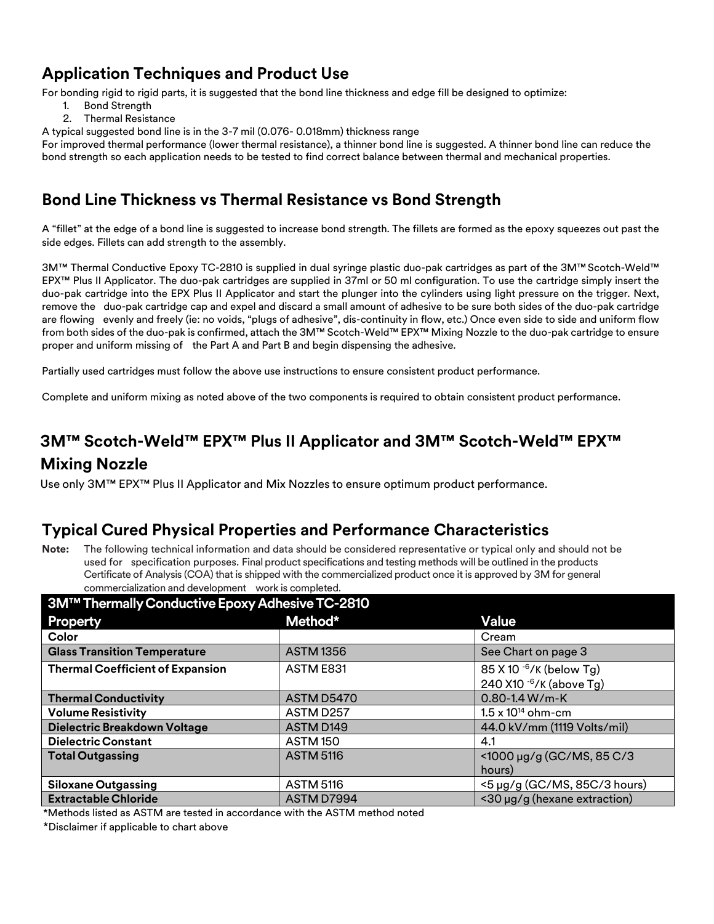# **Application Techniques and Product Use**

For bonding rigid to rigid parts, it is suggested that the bond line thickness and edge fill be designed to optimize:

- 1. Bond Strength
- 2. Thermal Resistance

A typical suggested bond line is in the 3-7 mil (0.076- 0.018mm) thickness range

For improved thermal performance (lower thermal resistance), a thinner bond line is suggested. A thinner bond line can reduce the bond strength so each application needs to be tested to find correct balance between thermal and mechanical properties.

# **Bond Line Thickness vs Thermal Resistance vs Bond Strength**

A "fillet" at the edge of a bond line is suggested to increase bond strength. The fillets are formed as the epoxy squeezes out past the side edges. Fillets can add strength to the assembly.

3M™ Thermal Conductive Epoxy TC-2810 is supplied in dual syringe plastic duo-pak cartridges as part of the 3M™ Scotch-Weld™ EPX™ Plus II Applicator. The duo-pak cartridges are supplied in 37ml or 50 ml configuration. To use the cartridge simply insert the duo-pak cartridge into the EPX Plus II Applicator and start the plunger into the cylinders using light pressure on the trigger. Next, remove the duo-pak cartridge cap and expel and discard a small amount of adhesive to be sure both sides of the duo-pak cartridge are flowing evenly and freely (ie: no voids, "plugs of adhesive", dis-continuity in flow, etc.) Once even side to side and uniform flow from both sides of the duo-pak is confirmed, attach the 3M™ Scotch-Weld™ EPX™ Mixing Nozzle to the duo-pak cartridge to ensure proper and uniform missing of the Part A and Part B and begin dispensing the adhesive.

Partially used cartridges must follow the above use instructions to ensure consistent product performance.

Complete and uniform mixing as noted above of the two components is required to obtain consistent product performance.

# **3M™ Scotch-Weld™ EPX™ Plus II Applicator and 3M™ Scotch-Weld™ EPX™**

### **Mixing Nozzle**

Use only 3M™ EPX™ Plus II Applicator and Mix Nozzles to ensure optimum product performance.

#### **Typical Cured Physical Properties and Performance Characteristics**

**Note:** The following technical information and data should be considered representative or typical only and should not be used for specification purposes. Final product specifications and testing methods will be outlined in the products Certificate of Analysis (COA) that is shipped with the commercialized product once it is approved by 3M for general commercialization and development work is completed.

| 3M™ Thermally Conductive Epoxy Adhesive TC-2810 |                       |                              |  |  |  |
|-------------------------------------------------|-----------------------|------------------------------|--|--|--|
| Property                                        | Method*               | <b>Value</b>                 |  |  |  |
| Color                                           |                       | Cream                        |  |  |  |
| <b>Glass Transition Temperature</b>             | <b>ASTM1356</b>       | See Chart on page 3          |  |  |  |
| <b>Thermal Coefficient of Expansion</b>         | ASTM E831             | $85 X 10^{-6}$ /K (below Tg) |  |  |  |
|                                                 |                       | 240 X10 $-6$ /K (above Tg)   |  |  |  |
| <b>Thermal Conductivity</b>                     | ASTM D5470            | $0.80 - 1.4 W/m-K$           |  |  |  |
| <b>Volume Resistivity</b>                       | ASTM D257             | $1.5 \times 10^{14}$ ohm-cm  |  |  |  |
| Dielectric Breakdown Voltage                    | ASTM D <sub>149</sub> | 44.0 kV/mm (1119 Volts/mil)  |  |  |  |
| <b>Dielectric Constant</b>                      | <b>ASTM 150</b>       | 4.1                          |  |  |  |
| <b>Total Outgassing</b>                         | <b>ASTM 5116</b>      | <1000 µg/g (GC/MS, 85 C/3    |  |  |  |
|                                                 |                       | hours)                       |  |  |  |
| <b>Siloxane Outgassing</b>                      | <b>ASTM 5116</b>      | <5 µg/g (GC/MS, 85C/3 hours) |  |  |  |
| <b>Extractable Chloride</b>                     | ASTM D7994            | <30 µg/g (hexane extraction) |  |  |  |

\*Methods listed as ASTM are tested in accordance with the ASTM method noted

\*Disclaimer if applicable to chart above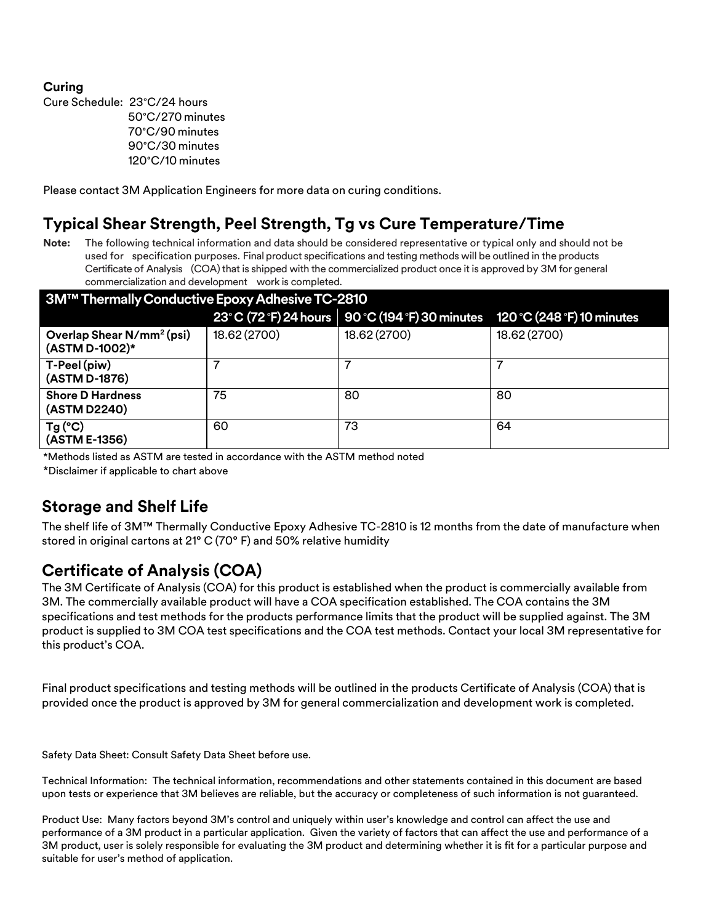#### **Curing**

Cure Schedule: 23°C/24 hours °C/270 minutes °C/90 minutes °C/30 minutes °C/10 minutes

Please contact 3M Application Engineers for more data on curing conditions.

## **Typical Shear Strength, Peel Strength, Tg vs Cure Temperature/Time**

**Note:** The following technical information and data should be considered representative or typical only and should not be used for specification purposes. Final product specifications and testing methods will be outlined in the products Certificate of Analysis (COA) that is shipped with the commercialized product once it is approved by 3M for general commercialization and development work is completed.

| 3M™ Thermally Conductive Epoxy Adhesive TC-2810         |              |                                                    |                            |  |  |  |
|---------------------------------------------------------|--------------|----------------------------------------------------|----------------------------|--|--|--|
|                                                         |              | 23° C (72 °F) 24 hours   90 °C (194 °F) 30 minutes | 120 °C (248 °F) 10 minutes |  |  |  |
| Overlap Shear N/mm <sup>2</sup> (psi)<br>(ASTM D-1002)* | 18.62 (2700) | 18.62 (2700)                                       | 18.62 (2700)               |  |  |  |
| T-Peel (piw)<br>(ASTM D-1876)                           |              |                                                    |                            |  |  |  |
| <b>Shore D Hardness</b><br>(ASTM D2240)                 | 75           | 80                                                 | 80                         |  |  |  |
| $Tg(^{\circ}C)$<br>(ASTM E-1356)                        | 60           | 73                                                 | 64                         |  |  |  |

\*Methods listed as ASTM are tested in accordance with the ASTM method noted

\*Disclaimer if applicable to chart above

# **Storage and Shelf Life**

The shelf life of 3M™ Thermally Conductive Epoxy Adhesive TC-2810 is 12 months from the date of manufacture when stored in original cartons at 21° C (70° F) and 50% relative humidity

# **Certificate of Analysis (COA)**

The 3M Certificate of Analysis (COA) for this product is established when the product is commercially available from 3M. The commercially available product will have a COA specification established. The COA contains the 3M specifications and test methods for the products performance limits that the product will be supplied against. The 3M product is supplied to 3M COA test specifications and the COA test methods. Contact your local 3M representative for this product's COA.

Final product specifications and testing methods will be outlined in the products Certificate of Analysis (COA) that is provided once the product is approved by 3M for general commercialization and development work is completed.

Safety Data Sheet: Consult Safety Data Sheet before use.

Technical Information: The technical information, recommendations and other statements contained in this document are based upon tests or experience that 3M believes are reliable, but the accuracy or completeness of such information is not guaranteed.

Product Use: Many factors beyond 3M's control and uniquely within user's knowledge and control can affect the use and performance of a 3M product in a particular application. Given the variety of factors that can affect the use and performance of a 3M product, user is solely responsible for evaluating the 3M product and determining whether it is fit for a particular purpose and suitable for user's method of application.